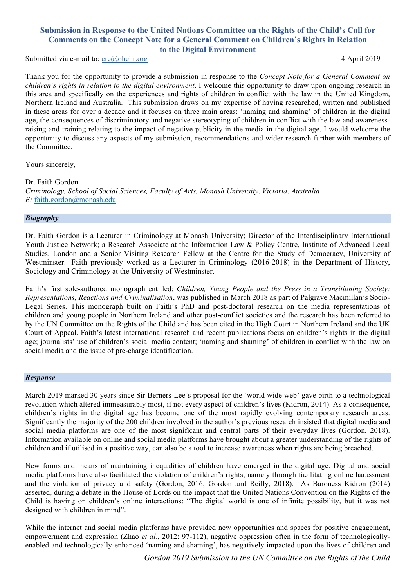# **Submission in Response to the United Nations Committee on the Rights of the Child's Call for Comments on the Concept Note for a General Comment on Children's Rights in Relation to the Digital Environment**

Submitted via e-mail to: crc@ohchr.org 4 April 2019

Thank you for the opportunity to provide a submission in response to the *Concept Note for a General Comment on children's rights in relation to the digital environment*. I welcome this opportunity to draw upon ongoing research in this area and specifically on the experiences and rights of children in conflict with the law in the United Kingdom, Northern Ireland and Australia. This submission draws on my expertise of having researched, written and published in these areas for over a decade and it focuses on three main areas: 'naming and shaming' of children in the digital age, the consequences of discriminatory and negative stereotyping of children in conflict with the law and awarenessraising and training relating to the impact of negative publicity in the media in the digital age. I would welcome the opportunity to discuss any aspects of my submission, recommendations and wider research further with members of the Committee.

Yours sincerely,

Dr. Faith Gordon *Criminology, School of Social Sciences, Faculty of Arts, Monash University, Victoria, Australia E:* faith.gordon@monash.edu

### *Biography*

Dr. Faith Gordon is a Lecturer in Criminology at Monash University; Director of the Interdisciplinary International Youth Justice Network; a Research Associate at the Information Law & Policy Centre, Institute of Advanced Legal Studies, London and a Senior Visiting Research Fellow at the Centre for the Study of Democracy, University of Westminster. Faith previously worked as a Lecturer in Criminology (2016-2018) in the Department of History, Sociology and Criminology at the University of Westminster.

Faith's first sole-authored monograph entitled: *Children, Young People and the Press in a Transitioning Society: Representations, Reactions and Criminalisation*, was published in March 2018 as part of Palgrave Macmillan's Socio-Legal Series. This monograph built on Faith's PhD and post-doctoral research on the media representations of children and young people in Northern Ireland and other post-conflict societies and the research has been referred to by the UN Committee on the Rights of the Child and has been cited in the High Court in Northern Ireland and the UK Court of Appeal. Faith's latest international research and recent publications focus on children's rights in the digital age; journalists' use of children's social media content; 'naming and shaming' of children in conflict with the law on social media and the issue of pre-charge identification.

### *Response*

March 2019 marked 30 years since Sir Berners-Lee's proposal for the 'world wide web' gave birth to a technological revolution which altered immeasurably most, if not every aspect of children's lives (Kidron, 2014). As a consequence, children's rights in the digital age has become one of the most rapidly evolving contemporary research areas. Significantly the majority of the 200 children involved in the author's previous research insisted that digital media and social media platforms are one of the most significant and central parts of their everyday lives (Gordon, 2018). Information available on online and social media platforms have brought about a greater understanding of the rights of children and if utilised in a positive way, can also be a tool to increase awareness when rights are being breached.

New forms and means of maintaining inequalities of children have emerged in the digital age. Digital and social media platforms have also facilitated the violation of children's rights, namely through facilitating online harassment and the violation of privacy and safety (Gordon, 2016; Gordon and Reilly, 2018). As Baroness Kidron (2014) asserted, during a debate in the House of Lords on the impact that the United Nations Convention on the Rights of the Child is having on children's online interactions: "The digital world is one of infinite possibility, but it was not designed with children in mind".

While the internet and social media platforms have provided new opportunities and spaces for positive engagement, empowerment and expression (Zhao *et al.*, 2012: 97-112), negative oppression often in the form of technologicallyenabled and technologically-enhanced 'naming and shaming', has negatively impacted upon the lives of children and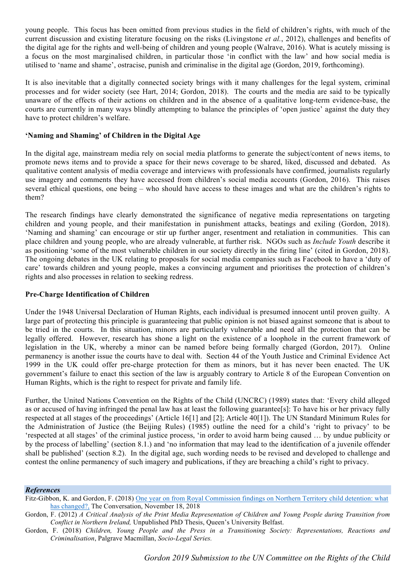young people. This focus has been omitted from previous studies in the field of children's rights, with much of the current discussion and existing literature focusing on the risks (Livingstone *et al.*, 2012), challenges and benefits of the digital age for the rights and well-being of children and young people (Walrave, 2016). What is acutely missing is a focus on the most marginalised children, in particular those 'in conflict with the law' and how social media is utilised to 'name and shame', ostracise, punish and criminalise in the digital age (Gordon, 2019, forthcoming).

It is also inevitable that a digitally connected society brings with it many challenges for the legal system, criminal processes and for wider society (see Hart, 2014; Gordon, 2018). The courts and the media are said to be typically unaware of the effects of their actions on children and in the absence of a qualitative long-term evidence-base, the courts are currently in many ways blindly attempting to balance the principles of 'open justice' against the duty they have to protect children's welfare.

## **'Naming and Shaming' of Children in the Digital Age**

In the digital age, mainstream media rely on social media platforms to generate the subject/content of news items, to promote news items and to provide a space for their news coverage to be shared, liked, discussed and debated. As qualitative content analysis of media coverage and interviews with professionals have confirmed, journalists regularly use imagery and comments they have accessed from children's social media accounts (Gordon, 2016). This raises several ethical questions, one being – who should have access to these images and what are the children's rights to them?

The research findings have clearly demonstrated the significance of negative media representations on targeting children and young people, and their manifestation in punishment attacks, beatings and exiling (Gordon, 2018). 'Naming and shaming' can encourage or stir up further anger, resentment and retaliation in communities. This can place children and young people, who are already vulnerable, at further risk. NGOs such as *Include Youth* describe it as positioning 'some of the most vulnerable children in our society directly in the firing line' (cited in Gordon, 2018). The ongoing debates in the UK relating to proposals for social media companies such as Facebook to have a 'duty of care' towards children and young people, makes a convincing argument and prioritises the protection of children's rights and also processes in relation to seeking redress.

### **Pre-Charge Identification of Children**

Under the 1948 Universal Declaration of Human Rights, each individual is presumed innocent until proven guilty. A large part of protecting this principle is guaranteeing that public opinion is not biased against someone that is about to be tried in the courts. In this situation, minors are particularly vulnerable and need all the protection that can be legally offered. However, research has shone a light on the existence of a loophole in the current framework of legislation in the UK, whereby a minor can be named before being formally charged (Gordon, 2017). Online permanency is another issue the courts have to deal with. Section 44 of the Youth Justice and Criminal Evidence Act 1999 in the UK could offer pre-charge protection for them as minors, but it has never been enacted. The UK government's failure to enact this section of the law is arguably contrary to Article 8 of the European Convention on Human Rights, which is the right to respect for private and family life.

Further, the United Nations Convention on the Rights of the Child (UNCRC) (1989) states that: 'Every child alleged as or accused of having infringed the penal law has at least the following guarantee[s]: To have his or her privacy fully respected at all stages of the proceedings' (Article 16[1] and [2]; Article 40[1]). The UN Standard Minimum Rules for the Administration of Justice (the Beijing Rules) (1985) outline the need for a child's 'right to privacy' to be 'respected at all stages' of the criminal justice process, 'in order to avoid harm being caused … by undue publicity or by the process of labelling' (section 8.1.) and 'no information that may lead to the identification of a juvenile offender shall be published' (section 8.2). In the digital age, such wording needs to be revised and developed to challenge and contest the online permanency of such imagery and publications, if they are breaching a child's right to privacy.

#### *References*

- Fitz-Gibbon, K. and Gordon, F. (2018) One year on from Royal Commission findings on Northern Territory child detention: what has changed?, The Conversation, November 18, 2018
- Gordon, F. (2012) *A Critical Analysis of the Print Media Representation of Children and Young People during Transition from Conflict in Northern Ireland,* Unpublished PhD Thesis, Queen's University Belfast.
- Gordon, F. (2018) *Children, Young People and the Press in a Transitioning Society: Representations, Reactions and Criminalisation*, Palgrave Macmillan, *Socio-Legal Series.*